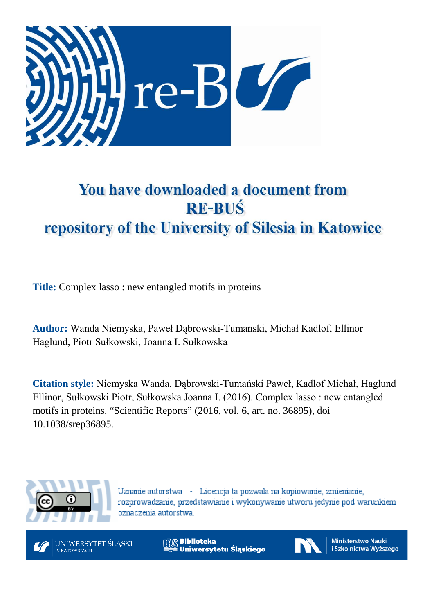

## You have downloaded a document from **RE-BUŚ** repository of the University of Silesia in Katowice

**Title:** Complex lasso : new entangled motifs in proteins

**Author:** Wanda Niemyska, Paweł Dąbrowski-Tumański, Michał Kadlof, Ellinor Haglund, Piotr Sułkowski, Joanna I. Sułkowska

**Citation style:** Niemyska Wanda, Dąbrowski-Tumański Paweł, Kadlof Michał, Haglund Ellinor, Sułkowski Piotr, Sułkowska Joanna I. (2016). Complex lasso : new entangled motifs in proteins. "Scientific Reports" (2016, vol. 6, art. no. 36895), doi 10.1038/srep36895.



Uznanie autorstwa - Licencja ta pozwala na kopiowanie, zmienianie, rozprowadzanie, przedstawianie i wykonywanie utworu jedynie pod warunkiem oznaczenia autorstwa.



**Biblioteka** Uniwersytetu Śląskiego



**Ministerstwo Nauki** i Szkolnictwa Wyższego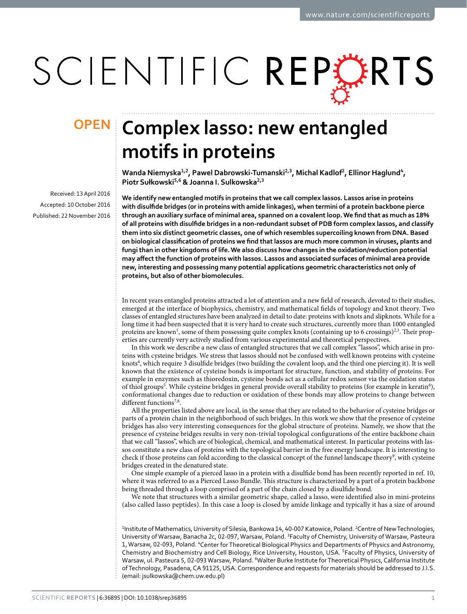# SCIENTIFIC REPERTS

Received: 13 April 2016 accepted: 10 October 2016 Published: 22 November 2016

## **Complex lasso: new entangled OPENmotifs in proteins**

**Wanda Niemyska<sup>1</sup>,<sup>2</sup>, Pawel Dabrowski-Tumanski<sup>2</sup>,<sup>3</sup>, Michal Kadlof<sup>2</sup>, Ellinor Haglund<sup>4</sup>, Piotr Sułkowski5,<sup>6</sup> & Joanna I. Sulkowska<sup>2</sup>,<sup>3</sup>**

**We identify new entangled motifs in proteins that we call complex lassos. Lassos arise in proteins with disulfide bridges (or in proteins with amide linkages), when termini of a protein backbone pierce through an auxiliary surface of minimal area, spanned on a covalentloop.We find that as much as 18% of all proteins with disulfide bridges in a non-redundant subset of PDB form complex lassos, and classify them into six distinct geometric classes, one of which resembles supercoiling known from DNA. Based on biological classification of proteins we find thatlassos are much more common in viruses, plants and fungi than in other kingdoms of life. We also discuss how changes in the oxidation/reduction potential may affectthe function of proteins with lassos. Lassos and associated surfaces of minimal area provide new, interesting and possessing many potential applications geometric characteristics not only of proteins, but also of other biomolecules.**

In recent years entangled proteins attracted a lot of attention and a new field of research, devoted to their studies, emerged at the interface of biophysics, chemistry, and mathematical fields of topology and knot theory. Two classes of entangled structures have been analyzed in detail to date: proteins with knots and slipknots. While for a long time it had been suspected that it is very hard to create such structures, currently more than 1000 entangled proteins are known<sup>[1](#page-8-0)</sup>, some of them possessing quite complex knots (containing up to 6 crossings)<sup>2,[3](#page-8-2)</sup>. Their properties are currently very actively studied from various experimental and theoretical perspectives.

In this work we describe a new class of entangled structures that we call complex "lassos", which arise in proteins with cysteine bridges. We stress that lassos should not be confused with well known proteins with cysteine knots<sup>[4](#page-8-3)</sup>, which require 3 disulfide bridges (two building the covalent loop, and the third one piercing it). It is well known that the existence of cysteine bonds is important for structure, function, and stability of proteins. For example in enzymes such as thioredoxin, cysteine bonds act as a cellular redox sensor via the oxidation status of thiol groups<sup>5</sup>. While cysteine bridges in general provide overall stability to proteins (for example in keratin<sup>[6](#page-9-1)</sup>), conformational changes due to reduction or oxidation of these bonds may allow proteins to change between different functions<sup>7[,8](#page-9-3)</sup>.

All the properties listed above are local, in the sense that they are related to the behavior of cysteine bridges or parts of a protein chain in the neighborhood of such bridges. In this work we show that the presence of cysteine bridges has also very interesting consequences for the global structure of proteins. Namely, we show that the presence of cysteine bridges results in very non-trivial topological configurations of the entire backbone chain that we call "lassos", which are of biological, chemical, and mathematical interest. In particular proteins with lassos constitute a new class of proteins with the topological barrier in the free energy landscape. It is interesting to check if those proteins can fold according to the classical concept of the funnel landscape theory<sup>9</sup>, with cysteine bridges created in the denatured state.

One simple example of a pierced lasso in a protein with a disulfide bond has been recently reported in [ref. 10,](#page-9-5) where it was referred to as a Pierced Lasso Bundle. This structure is characterized by a part of a protein backbone being threaded through a loop comprised of a part of the chain closed by a disulfide bond.

We note that structures with a similar geometric shape, called a lasso, were identified also in mini-proteins (also called lasso peptides). In this case a loop is closed by amide linkage and typically it has a size of around

<sup>1</sup>Institute of Mathematics, University of Silesia, Bankowa 14, 40-007 Katowice, Poland. <sup>2</sup>Centre of New Technologies, University of Warsaw, Banacha 2c, 02-097, Warsaw, Poland. <sup>3</sup>Faculty of Chemistry, University of Warsaw, Pasteura 1, Warsaw, 02-093, Poland. "Center for Theoretical Biological Physics and Departments of Physics and Astronomy, Chemistry and Biochemistry and Cell Biology, Rice University, Houston, USA. 5Faculty of Physics, University of Warsaw, ul. Pasteura 5, 02-093 Warsaw, Poland. <sup>6</sup>Walter Burke Institute for Theoretical Physics, California Institute of Technology, Pasadena, CA 91125, USA. Correspondence and requests for materials should be addressed to J.I.S. (email: [jsulkowska@chem.uw.edu.pl](mailto:jsulkowska@chem.uw.edu.pl))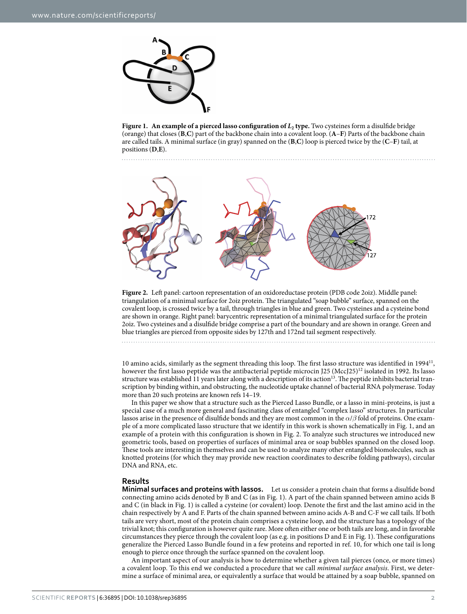

<span id="page-2-0"></span>**Figure 1.** An example of a pierced lasso configuration of  $L_2$  type. Two cysteines form a disulfide bridge (orange) that closes (**B**,**C**) part of the backbone chain into a covalent loop. (**A**–**F**) Parts of the backbone chain are called tails. A minimal surface (in gray) spanned on the (**B**,**C**) loop is pierced twice by the (**C**–**F**) tail, at positions (**D**,**E**).



<span id="page-2-1"></span>**Figure 2.** Left panel: cartoon representation of an oxidoreductase protein (PDB code 2oiz). Middle panel: triangulation of a minimal surface for 2oiz protein. The triangulated "soap bubble" surface, spanned on the covalent loop, is crossed twice by a tail, through triangles in blue and green. Two cysteines and a cysteine bond are shown in orange. Right panel: barycentric representation of a minimal triangulated surface for the protein 2oiz. Two cysteines and a disulfide bridge comprise a part of the boundary and are shown in orange. Green and blue triangles are pierced from opposite sides by 127th and 172nd tail segment respectively.

10 amino acids, similarly as the segment threading this loop. The first lasso structure was identified in 1994<sup>11</sup>, however the first lasso peptide was the antibacterial peptide microcin J25 (MccJ25)<sup>12</sup> isolated in 1992. Its lasso structure was established 11 years later along with a description of its action<sup>13</sup>. The peptide inhibits bacterial transcription by binding within, and obstructing, the nucleotide uptake channel of bacterial RNA polymerase. Today more than 20 such proteins are known [refs 14–19](#page-9-9).

In this paper we show that a structure such as the Pierced Lasso Bundle, or a lasso in mini-proteins, is just a special case of a much more general and fascinating class of entangled "complex lasso" structures. In particular lassos arise in the presence of disulfide bonds and they are most common in the *α*/*β* fold of proteins. One example of a more complicated lasso structure that we identify in this work is shown schematically in [Fig. 1,](#page-2-0) and an example of a protein with this configuration is shown in [Fig. 2](#page-2-1). To analyze such structures we introduced new geometric tools, based on properties of surfaces of minimal area or soap bubbles spanned on the closed loop. These tools are interesting in themselves and can be used to analyze many other entangled biomolecules, such as knotted proteins (for which they may provide new reaction coordinates to describe folding pathways), circular DNA and RNA, etc.

#### **Results**

**Minimal surfaces and proteins with lassos.** Let us consider a protein chain that forms a disulfide bond connecting amino acids denoted by B and C (as in [Fig. 1](#page-2-0)). A part of the chain spanned between amino acids B and C (in black in [Fig. 1\)](#page-2-0) is called a cysteine (or covalent) loop. Denote the first and the last amino acid in the chain respectively by A and F. Parts of the chain spanned between amino acids A-B and C-F we call tails. If both tails are very short, most of the protein chain comprises a cysteine loop, and the structure has a topology of the trivial knot; this configuration is however quite rare. More often either one or both tails are long, and in favorable circumstances they pierce through the covalent loop (as e.g. in positions D and E in [Fig. 1](#page-2-0)). These configurations generalize the Pierced Lasso Bundle found in a few proteins and reported in [ref. 10](#page-9-5), for which one tail is long enough to pierce once through the surface spanned on the covalent loop.

An important aspect of our analysis is how to determine whether a given tail pierces (once, or more times) a covalent loop. To this end we conducted a procedure that we call *minimal surface analysis*. First, we determine a surface of minimal area, or equivalently a surface that would be attained by a soap bubble, spanned on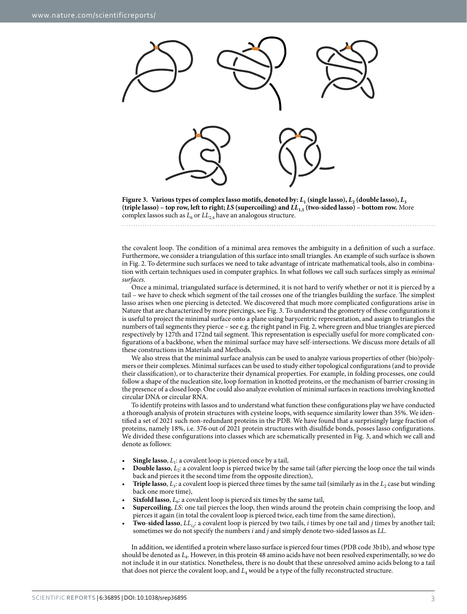

<span id="page-3-0"></span>**Figure 3.** Various types of complex lasso motifs, denoted by:  $L_1$  (single lasso),  $L_2$  (double lasso),  $L_3$ **(triple lasso) – top row, left to right;** *LS* **(supercoiling) and** *LL***1,1 (two-sided lasso) – bottom row.** More complex lassos such as  $L_6$  or  $LL_{2,4}$  have an analogous structure.

the covalent loop. The condition of a minimal area removes the ambiguity in a definition of such a surface. Furthermore, we consider a triangulation of this surface into small triangles. An example of such surface is shown in [Fig. 2](#page-2-1). To determine such surfaces we need to take advantage of intricate mathematical tools, also in combination with certain techniques used in computer graphics. In what follows we call such surfaces simply as *minimal surfaces*.

Once a minimal, triangulated surface is determined, it is not hard to verify whether or not it is pierced by a tail – we have to check which segment of the tail crosses one of the triangles building the surface. The simplest lasso arises when one piercing is detected. We discovered that much more complicated configurations arise in Nature that are characterized by more piercings, see [Fig. 3](#page-3-0). To understand the geometry of these configurations it is useful to project the minimal surface onto a plane using barycentric representation, and assign to triangles the numbers of tail segments they pierce – see e.g. the right panel in [Fig. 2,](#page-2-1) where green and blue triangles are pierced respectively by 127th and 172nd tail segment. This representation is especially useful for more complicated configurations of a backbone, when the minimal surface may have self-intersections. We discuss more details of all these constructions in Materials and Methods.

We also stress that the minimal surface analysis can be used to analyze various properties of other (bio)polymers or their complexes. Minimal surfaces can be used to study either topological configurations (and to provide their classification), or to characterize their dynamical properties. For example, in folding processes, one could follow a shape of the nucleation site, loop formation in knotted proteins, or the mechanism of barrier crossing in the presence of a closed loop. One could also analyze evolution of minimal surfaces in reactions involving knotted circular DNA or circular RNA.

To identify proteins with lassos and to understand what function these configurations play we have conducted a thorough analysis of protein structures with cysteine loops, with sequence similarity lower than 35%. We identified a set of 2021 such non-redundant proteins in the PDB. We have found that a surprisingly large fraction of proteins, namely 18%, i.e. 376 out of 2021 protein structures with disulfide bonds, posses lasso configurations. We divided these configurations into classes which are schematically presented in [Fig. 3,](#page-3-0) and which we call and denote as follows:

- **Single lasso,**  $L_1$ : a covalent loop is pierced once by a tail,
- **Double lasso,**  $L_2$ : a covalent loop is pierced twice by the same tail (after piercing the loop once the tail winds back and pierces it the second time from the opposite direction),
- **Triple lasso,**  $L_3$ : a covalent loop is pierced three times by the same tail (similarly as in the  $L_2$  case but winding back one more time),
- **Sixfold lasso,**  $L_6$ : a covalent loop is pierced six times by the same tail,
- **Supercoiling**, *LS*: one tail pierces the loop, then winds around the protein chain comprising the loop, and pierces it again (in total the covalent loop is pierced twice, each time from the same direction),
- • **Two**-**sided lasso**, *LLi*,*<sup>j</sup>* : a covalent loop is pierced by two tails, *i* times by one tail and *j* times by another tail; sometimes we do not specify the numbers *i* and *j* and simply denote two-sided lassos as *LL*.

In addition, we identified a protein where lasso surface is pierced four times (PDB code 3b1b), and whose type should be denoted as *L*4. However, in this protein 48 amino acids have not been resolved experimentally, so we do not include it in our statistics. Nonetheless, there is no doubt that these unresolved amino acids belong to a tail that does not pierce the covalent loop, and *L*4 would be a type of the fully reconstructed structure.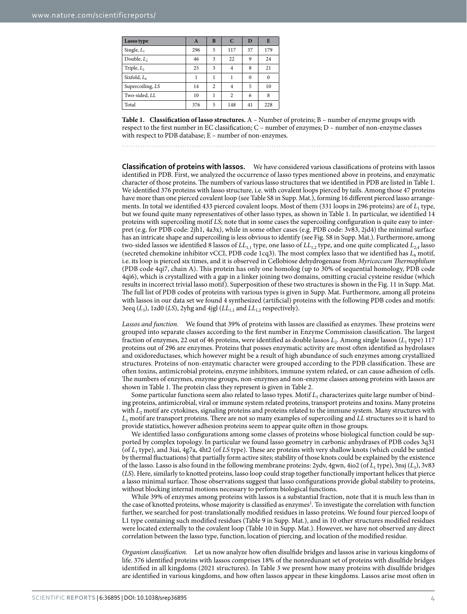<span id="page-4-0"></span>

| Lasso type       | A   | B              | C              | D        | E        |
|------------------|-----|----------------|----------------|----------|----------|
| Single, $L_1$    | 296 | 5              | 117            | 37       | 179      |
| Double, $L_2$    | 46  | 3              | 22             | 9        | 24       |
| Triple, $L_3$    | 25  | 3              | 4              | 8        | 21       |
| Sixfold, $L_6$   |     |                |                | $\theta$ | $\Omega$ |
| Supercoiling, LS | 14  | $\overline{c}$ | $\overline{4}$ | 5        | 10       |
| Two-sided, LL    | 10  | 1              | $\overline{c}$ | 6        | 8        |
| Total            | 376 | 5              | 148            | 41       | 228      |

**Table 1. Classification of lasso structures.** A – Number of proteins; B – number of enzyme groups with respect to the first number in EC classification; C – number of enzymes; D – number of non-enzyme classes with respect to PDB database; E – number of non-enzymes.

**Classification of proteins with lassos.** We have considered various classifications of proteins with lassos identified in PDB. First, we analyzed the occurrence of lasso types mentioned above in proteins, and enzymatic character of those proteins. The numbers of various lasso structures that we identified in PDB are listed in [Table 1.](#page-4-0) We identified 376 proteins with lasso structure, i.e. with covalent loops pierced by tails. Among those 47 proteins have more than one pierced covalent loop (see Table S8 in Supp. Mat.), forming 16 different pierced lasso arrangements. In total we identified 433 pierced covalent loops. Most of them (331 loops in 296 proteins) are of  $L_1$  type, but we found quite many representatives of other lasso types, as shown in [Table 1.](#page-4-0) In particular, we identified 14 proteins with supercoiling motif *LS*; note that in some cases the supercoiling configuration is quite easy to interpret (e.g. for PDB code: 2jh1, 4a3x), while in some other cases (e.g. PDB code: 3v83, 2jd4) the minimal surface has an intricate shape and supercoiling is less obvious to identify (see Fig. S8 in Supp. Mat.). Furthermore, among two-sided lassos we identified 8 lassos of  $LL_{1,1}$  type, one lasso of  $LL_{1,2}$  type, and one quite complicated  $L_{2,4}$  lasso (secreted chemokine inhibitor vCCI, PDB code 1cq3). The most complex lasso that we identified has *L*6 motif, i.e. its loop is pierced six times, and it is observed in Cellobiose dehydrogenase from *Myricoccum Thermophilum* (PDB code 4qi7, chain A). This protein has only one homolog (up to 30% of sequential homology, PDB code 4qi6), which is crystallized with a gap in a linker joining two domains, omitting crucial cysteine residue (which results in incorrect trivial lasso motif). Superposition of these two structures is shown in the Fig. 11 in Supp. Mat. The full list of PDB codes of proteins with various types is given in Supp. Mat. Furthermore, among all proteins with lassos in our data set we found 4 synthesized (artificial) proteins with the following PDB codes and motifs: 3eeq  $(L_3)$ , 1zd0  $(LS)$ , 2yhg and 4jgl  $(LL_{1,1}$  and  $LL_{1,2}$  respectively).

*Lassos and function.* We found that 39% of proteins with lassos are classified as enzymes. These proteins were grouped into separate classes according to the first number in Enzyme Commission classification. The largest fraction of enzymes, 22 out of 46 proteins, were identified as double lassos *L*<sub>2</sub>. Among single lassos (*L*<sub>1</sub> type) 117 proteins out of 296 are enzymes. Proteins that posses enzymatic activity are most often identified as hydrolases and oxidoreductases, which however might be a result of high abundance of such enzymes among crystallized structures. Proteins of non-enzymatic character were grouped according to the PDB classification. These are often toxins, antimicrobial proteins, enzyme inhibitors, immune system related, or can cause adhesion of cells. The numbers of enzymes, enzyme groups, non-enzymes and non-enzyme classes among proteins with lassos are shown in [Table 1.](#page-4-0) The protein class they represent is given in [Table 2](#page-5-0).

Some particular functions seem also related to lasso types. Motif  $L_1$  characterizes quite large number of binding proteins, antimicrobial, viral or immune system related proteins, transport proteins and toxins. Many proteins with  $L_2$  motif are cytokines, signaling proteins and proteins related to the immune system. Many structures with *L*3 motif are transport proteins. There are not so many examples of supercoiling and *LL* structures so it is hard to provide statistics, however adhesion proteins seem to appear quite often in those groups.

We identified lasso configurations among some classes of proteins whose biological function could be supported by complex topology. In particular we found lasso geometry in carbonic anhydrases of PDB codes 3q31 (of *L*1 type), and 3iai, 4g7a, 4ht2 (of *LS* type). These are proteins with very shallow knots (which could be untied by thermal fluctuations) that partially form active sites; stability of those knots could be explained by the existence of the lasso. Lasso is also found in the following membrane proteins: 2ydv, 4gwn, 4io2 (of *L*1 type), 3nsj (*L*3), 3v83 (*LS*). Here, similarly to knotted proteins, lasso loop could strap together functionally important helices that pierce a lasso minimal surface. Those observations suggest that lasso configurations provide global stability to proteins, without blocking internal motions necessary to perform biological functions.

While 39% of enzymes among proteins with lassos is a substantial fraction, note that it is much less than in the case of knotted proteins, whose majority is classified as enzymes<sup>[1](#page-8-0)</sup>. To investigate the correlation with function further, we searched for post-translationally modified residues in lasso proteins. We found four pierced loops of L1 type containing such modified residues (Table 9 in Supp. Mat.), and in 10 other structures modified residues were located externally to the covalent loop (Table 10 in Supp. Mat.). However, we have not observed any direct correlation between the lasso type, function, location of piercing, and location of the modified residue.

*Organism classification.* Let us now analyze how often disulfide bridges and lassos arise in various kingdoms of life. 376 identified proteins with lassos comprises 18% of the nonredunant set of proteins with disulfide bridges identified in all kingdoms (2021 structures). In [Table 3](#page-5-1) we present how many proteins with disulfide bridges are identified in various kingdoms, and how often lassos appear in these kingdoms. Lassos arise most often in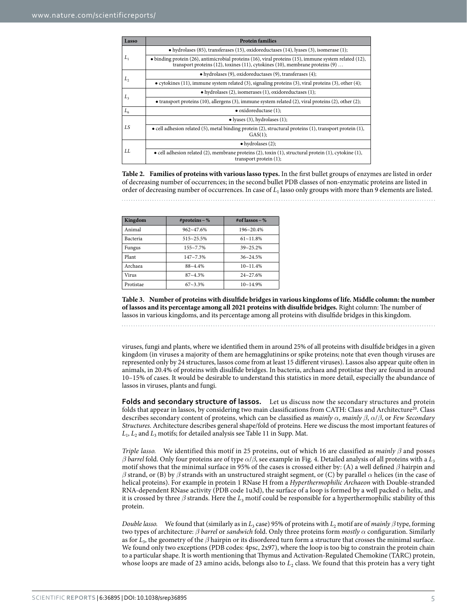<span id="page-5-0"></span>

| Lasso          | <b>Protein families</b>                                                                                                                                                                                  |  |  |  |  |
|----------------|----------------------------------------------------------------------------------------------------------------------------------------------------------------------------------------------------------|--|--|--|--|
| $L_1$          | • hydrolases (85), transferases (15), oxidoreductases (14), lyases (3), isomerase (1);                                                                                                                   |  |  |  |  |
|                | $\bullet$ binding protein (26), antimicrobial proteins (16), viral proteins (15), immune system related (12),<br>transport proteins $(12)$ , toxines $(11)$ , cytokines $(10)$ , membrane proteins $(9)$ |  |  |  |  |
| L,             | $\bullet$ hydrolases (9), oxidoreductases (9), transferases (4);                                                                                                                                         |  |  |  |  |
|                | • cytokines (11), immune system related (3), signaling proteins (3), viral proteins (3), other (4);                                                                                                      |  |  |  |  |
| L <sub>3</sub> | $\bullet$ hydrolases (2), isomerases (1), oxidoreductases (1);                                                                                                                                           |  |  |  |  |
|                | • transport proteins $(10)$ , allergens $(3)$ , immune system related $(2)$ , viral proteins $(2)$ , other $(2)$ ;                                                                                       |  |  |  |  |
| $L_6$          | $\bullet$ oxidoreductase (1);                                                                                                                                                                            |  |  |  |  |
| LS             | $\bullet$ lyases (3), hydrolases (1);                                                                                                                                                                    |  |  |  |  |
|                | • cell adhesion related (5), metal binding protein (2), structural proteins (1), transport protein (1),<br>$GAS(1)$ :                                                                                    |  |  |  |  |
| LL             | $\bullet$ hydrolases (2);                                                                                                                                                                                |  |  |  |  |
|                | $\bullet$ cell adhesion related (2), membrane proteins (2), toxin (1), structural protein (1), cytokine (1),<br>transport protein $(1)$ ;                                                                |  |  |  |  |

**Table 2. Families of proteins with various lasso types.** In the first bullet groups of enzymes are listed in order of decreasing number of occurrences; in the second bullet PDB classes of non-enzymatic proteins are listed in order of decreasing number of occurrences. In case of *L*1 lasso only groups with more than 9 elements are listed.

<span id="page-5-1"></span>

| Kingdom   | #proteins ~ $%$ | #of lassos $\sim$ % |
|-----------|-----------------|---------------------|
| Animal    | $962 - 47.6%$   | $196 - 20.4%$       |
| Bacteria  | $515 - 25.5%$   | $61 - 11.8\%$       |
| Fungus    | $155 - 7.7%$    | $39 - 25.2\%$       |
| Plant     | $147 - 7.3%$    | $36 - 24.5%$        |
| Archaea   | $88 - 4.4\%$    | $10 - 11.4%$        |
| Virus     | $87 - 4.3\%$    | $24 - 27.6%$        |
| Protistae | $67 - 3.3\%$    | $10 - 14.9%$        |

**Table 3. Number of proteins with disulfide bridges in various kingdoms of life. Middle column: the number of lassos and its percentage among all 2021 proteins with disulfide bridges.** Right column: The number of lassos in various kingdoms, and its percentage among all proteins with disulfide bridges in this kingdom.

viruses, fungi and plants, where we identified them in around 25% of all proteins with disulfide bridges in a given kingdom (in viruses a majority of them are hemagglutinins or spike proteins; note that even though viruses are represented only by 24 structures, lassos come from at least 15 different viruses). Lassos also appear quite often in animals, in 20.4% of proteins with disulfide bridges. In bacteria, archaea and protistae they are found in around 10–15% of cases. It would be desirable to understand this statistics in more detail, especially the abundance of lassos in viruses, plants and fungi.

**Folds and secondary structure of lassos.** Let us discuss now the secondary structures and protein folds that appear in lassos, by considering two main classifications from CATH: Class and Architecture<sup>20</sup>. Class describes secondary content of proteins, which can be classified as *mainly α*, *mainly β*, *α*/*β*, or *Few Secondary Structures*. Architecture describes general shape/fold of proteins. Here we discuss the most important features of  $L_1, L_2$  and  $L_3$  motifs; for detailed analysis see Table 11 in Supp. Mat.

*Triple lasso.* We identified this motif in 25 proteins, out of which 16 are classified as *mainly β* and posses *β barrel* fold. Only four proteins are of type *α*/*β*, see example in [Fig. 4.](#page-6-0) Detailed analysis of all proteins with a *L*<sup>3</sup> motif shows that the minimal surface in 95% of the cases is crossed either by: (A) a well defined *β* hairpin and *β* strand, or (B) by *β* strands with an unstructured straight segment, or (C) by parallel *α* helices (in the case of helical proteins). For example in protein 1 RNase H from a *Hyperthermophilic Archaeon* with Double-stranded RNA-dependent RNase activity (PDB code 1u3d), the surface of a loop is formed by a well packed *α* helix, and it is crossed by three *β* strands. Here the *L*3 motif could be responsible for a hyperthermophilic stability of this protein.

*Double lasso.* We found that (similarly as in *L*<sub>3</sub> case) 95% of proteins with  $L_2$  motif are of *mainly*  $\beta$  type, forming two types of architecture: *β barrel* or *sandwich* fold. Only three proteins form *mostly α* configuration. Similarly as for  $L_3$ , the geometry of the  $\beta$  hairpin or its disordered turn form a structure that crosses the minimal surface. We found only two exceptions (PDB codes: 4psc, 2x97), where the loop is too big to constrain the protein chain to a particular shape. It is worth mentioning that Thymus and Activation-Regulated Chemokine (TARC) protein, whose loops are made of 23 amino acids, belongs also to  $L_2$  class. We found that this protein has a very tight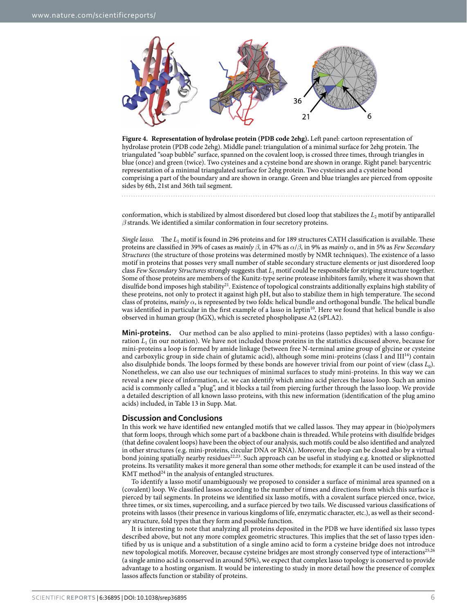

<span id="page-6-0"></span>**Figure 4. Representation of hydrolase protein (PDB code 2ehg).** Left panel: cartoon representation of hydrolase protein (PDB code 2ehg). Middle panel: triangulation of a minimal surface for 2ehg protein. The triangulated "soap bubble" surface, spanned on the covalent loop, is crossed three times, through triangles in blue (once) and green (twice). Two cysteines and a cysteine bond are shown in orange. Right panel: barycentric representation of a minimal triangulated surface for 2ehg protein. Two cysteines and a cysteine bond comprising a part of the boundary and are shown in orange. Green and blue triangles are pierced from opposite sides by 6th, 21st and 36th tail segment.

conformation, which is stabilized by almost disordered but closed loop that stabilizes the *L*<sub>2</sub> motif by antiparallel *β* strands. We identified a similar conformation in four secretory proteins.

*Single lasso.* The *L*<sub>1</sub> motif is found in 296 proteins and for 189 structures CATH classification is available. These proteins are classified in 39% of cases as *mainly β*, in 47% as *α*/*β*, in 9% as *mainly α*, and in 5% as *Few Secondary Structures* (the structure of those proteins was determined mostly by NMR techniques). The existence of a lasso motif in proteins that posses very small number of stable secondary structure elements or just disordered loop class *Few Secondary Structures* strongly suggests that *L*1 motif could be responsible for striping structure together. Some of those proteins are members of the Kunitz-type serine protease inhibitors family, where it was shown that disulfide bond imposes high stabilit[y21.](#page-9-11) Existence of topological constraints additionally explains high stability of these proteins, not only to protect it against high pH, but also to stabilize them in high temperature. The second class of proteins, *mainly α*, is represented by two folds: helical bundle and orthogonal bundle. The helical bundle was identified in particular in the first example of a lasso in leptin<sup>[10](#page-9-5)</sup>. Here we found that helical bundle is also observed in human group (hGX), which is secreted phospholipase A2 (sPLA2).

**Mini-proteins.** Our method can be also applied to mini-proteins (lasso peptides) with a lasso configuration  $L_1$  (in our notation). We have not included those proteins in the statistics discussed above, because for mini-proteins a loop is formed by amide linkage (between free N-terminal amine group of glycine or cysteine and carboxylic group in side chain of glutamic acid), although some mini-proteins (class I and III<sup>14</sup>) contain also disulphide bonds. The loops formed by these bonds are however trivial from our point of view (class *L*0). Nonetheless, we can also use our techniques of minimal surfaces to study mini-proteins. In this way we can reveal a new piece of information, i.e. we can identify which amino acid pierces the lasso loop. Such an amino acid is commonly called a "plug", and it blocks a tail from piercing further through the lasso loop. We provide a detailed description of all known lasso proteins, with this new information (identification of the plug amino acids) included, in Table 13 in Supp. Mat.

#### **Discussion and Conclusions**

In this work we have identified new entangled motifs that we called lassos. They may appear in (bio)polymers that form loops, through which some part of a backbone chain is threaded. While proteins with disulfide bridges (that define covalent loops) have been the object of our analysis, such motifs could be also identified and analyzed in other structures (e.g. mini-proteins, circular DNA or RNA). Moreover, the loop can be closed also by a virtual bond joining spatially nearby residues<sup>[22](#page-9-12),23</sup>. Such approach can be useful in studying e.g. knotted or slipknotted proteins. Its versatility makes it more general than some other methods; for example it can be used instead of the KMT method $^{24}$  in the analysis of entangled structures.

To identify a lasso motif unambiguously we proposed to consider a surface of minimal area spanned on a (covalent) loop. We classified lassos according to the number of times and directions from which this surface is pierced by tail segments. In proteins we identified six lasso motifs, with a covalent surface pierced once, twice, three times, or six times, supercoiling, and a surface pierced by two tails. We discussed various classifications of proteins with lassos (their presence in various kingdoms of life, enzymatic character, etc.), as well as their secondary structure, fold types that they form and possible function.

It is interesting to note that analyzing all proteins deposited in the PDB we have identified six lasso types described above, but not any more complex geometric structures. This implies that the set of lasso types identified by us is unique and a substitution of a single amino acid to form a cysteine bridge does not introduce new topological motifs. Moreover, because cysteine bridges are most strongly conserved type of interactions<sup>25,[26](#page-9-16)</sup> (a single amino acid is conserved in around 50%), we expect that complex lasso topology is conserved to provide advantage to a hosting organism. It would be interesting to study in more detail how the presence of complex lassos affects function or stability of proteins.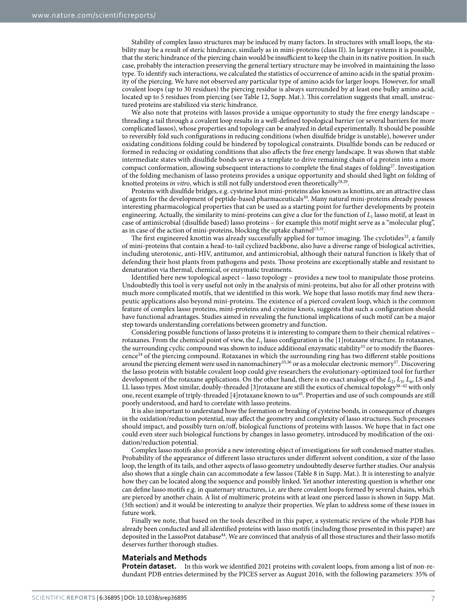Stability of complex lasso structures may be induced by many factors. In structures with small loops, the stability may be a result of steric hindrance, similarly as in mini-proteins (class II). In larger systems it is possible, that the steric hindrance of the piercing chain would be insufficient to keep the chain in its native position. In such case, probably the interaction preserving the general tertiary structure may be involved in maintaining the lasso type. To identify such interactions, we calculated the statistics of occurrence of amino acids in the spatial proximity of the piercing. We have not observed any particular type of amino acids for larger loops. However, for small covalent loops (up to 30 residues) the piercing residue is always surrounded by at least one bulky amino acid, located up to 5 residues from piercing (see Table 12, Supp. Mat.). This correlation suggests that small, unstructured proteins are stabilized via steric hindrance.

We also note that proteins with lassos provide a unique opportunity to study the free energy landscape – threading a tail through a covalent loop results in a well-defined topological barrier (or several barriers for more complicated lassos), whose properties and topology can be analyzed in detail experimentally. It should be possible to reversibly fold such configurations in reducing conditions (when disulfide bridge is unstable), however under oxidating conditions folding could be hindered by topological constraints. Disulfide bonds can be reduced or formed in reducing or oxidating conditions that also affects the free energy landscape. It was shown that stable intermediate states with disulfide bonds serve as a template to drive remaining chain of a protein into a more compact conformation, allowing subsequent interactions to complete the final stages of folding<sup>27</sup>. Investigation of the folding mechanism of lasso proteins provides a unique opportunity and should shed light on folding of knotted proteins *in vitro*, which is still not fully understood even theoretically<sup>[28,](#page-9-18)[29](#page-9-19)</sup>.

Proteins with disulfide bridges, e.g. cysteine knot mini-proteins also known as knottins, are an attractive class of agents for the development of peptide-based pharmaceuticals<sup>[30](#page-9-20)</sup>. Many natural mini-proteins already possess interesting pharmacological properties that can be used as a starting point for further developments by protein engineering. Actually, the similarity to mini-proteins can give a clue for the function of *L*1 lasso motif, at least in case of antimicrobial (disulfide based) lasso proteins – for example this motif might serve as a "molecular plug", as in case of the action of mini-proteins, blocking the uptake channel<sup>13,31</sup>.

The first engineered knottin was already successfully applied for tumor imaging. The cyclotides<sup>32</sup>, a family of mini-proteins that contain a head-to-tail cyclized backbone, also have a diverse range of biological activities, including uterotonic, anti-HIV, antitumor, and antimicrobial, although their natural function is likely that of defending their host plants from pathogens and pests. Those proteins are exceptionally stable and resistant to denaturation via thermal, chemical, or enzymatic treatments.

Identified here new topological aspect – lasso topology – provides a new tool to manipulate those proteins. Undoubtedly this tool is very useful not only in the analysis of mini-proteins, but also for all other proteins with much more complicated motifs, that we identified in this work. We hope that lasso motifs may find new therapeutic applications also beyond mini-proteins. The existence of a pierced covalent loop, which is the common feature of complex lasso proteins, mini-proteins and cysteine knots, suggests that such a configuration should have functional advantages. Studies aimed in revealing the functional implications of such motif can be a major step towards understanding correlations between geometry and function.

Considering possible functions of lasso proteins it is interesting to compare them to their chemical relatives – rotaxanes. From the chemical point of view, the *L*1 lasso configuration is the [1]rotaxane structure. In rotaxanes, the surrounding cyclic compound was shown to induce additional enzymatic stability<sup>33</sup> or to modify the fluorescenc[e34](#page-9-24) of the piercing compound. Rotaxanes in which the surrounding ring has two different stable positions around the piercing element were used in nanomachinery<sup>35,36</sup> or as a molecular electronic memory<sup>37</sup>. Discovering the lasso protein with bistable covalent loop could give researchers the evolutionary-optimized tool for further development of the rotaxane applications. On the other hand, there is no exact analogs of the  $L_2$ ,  $L_3$ ,  $L_6$ , LS and LL lasso types. Most similar, doubly-threaded [3]rotaxane are still the exotics of chemical topology[38–42](#page-9-28) with only one, recent example of triply-threaded [4] rotaxane known to us<sup>[43](#page-9-29)</sup>. Properties and use of such compounds are still poorly understood, and hard to correlate with lasso proteins.

It is also important to understand how the formation or breaking of cysteine bonds, in consequence of changes in the oxidation/reduction potential, may affect the geometry and complexity of lasso structures. Such processes should impact, and possibly turn on/off, biological functions of proteins with lassos. We hope that in fact one could even steer such biological functions by changes in lasso geometry, introduced by modification of the oxidation/reduction potential.

Complex lasso motifs also provide a new interesting object of investigations for soft condensed matter studies. Probability of the appearance of different lasso structures under different solvent condition, a size of the lasso loop, the length of its tails, and other aspects of lasso geometry undoubtedly deserve further studies. Our analysis also shows that a single chain can accommodate a few lassos (Table 8 in Supp. Mat.). It is interesting to analyze how they can be located along the sequence and possibly linked. Yet another interesting question is whether one can define lasso motifs e.g. in quaternary structures, i.e. are there covalent loops formed by several chains, which are pierced by another chain. A list of multimeric proteins with at least one pierced lasso is shown in Supp. Mat. (5th section) and it would be interesting to analyze their properties. We plan to address some of these issues in future work.

Finally we note, that based on the tools described in this paper, a systematic review of the whole PDB has already been conducted and all identified proteins with lasso motifs (including those presented in this paper) are deposited in the LassoProt database<sup>44</sup>. We are convinced that analysis of all those structures and their lasso motifs deserves further thorough studies.

#### **Materials and Methods**

**Protein dataset.** In this work we identified 2021 proteins with covalent loops, from among a list of non-redundant PDB entries determined by the PICES server as August 2016, with the following parameters: 35% of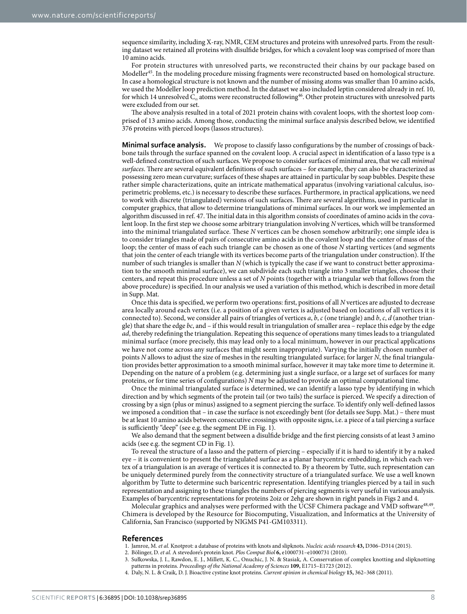sequence similarity, including X-ray, NMR, CEM structures and proteins with unresolved parts. From the resulting dataset we retained all proteins with disulfide bridges, for which a covalent loop was comprised of more than 10 amino acids.

For protein structures with unresolved parts, we reconstructed their chains by our package based on Modeller[45](#page-9-31). In the modeling procedure missing fragments were reconstructed based on homological structure. In case a homological structure is not known and the number of missing atoms was smaller than 10 amino acids, we used the Modeller loop prediction method. In the dataset we also included leptin considered already in [ref. 10,](#page-9-5) for which 14 unresolved  $\tilde{C}_\alpha$  atoms were reconstructed following<sup>46</sup>. Other protein structures with unresolved parts were excluded from our set.

The above analysis resulted in a total of 2021 protein chains with covalent loops, with the shortest loop comprised of 13 amino acids. Among those, conducting the minimal surface analysis described below, we identified 376 proteins with pierced loops (lassos structures).

**Minimal surface analysis.** We propose to classify lasso configurations by the number of crossings of backbone tails through the surface spanned on the covalent loop. A crucial aspect in identification of a lasso type is a well-defined construction of such surfaces. We propose to consider surfaces of minimal area, that we call *minimal surfaces*. There are several equivalent definitions of such surfaces – for example, they can also be characterized as possessing zero mean curvature; surfaces of these shapes are attained in particular by soap bubbles. Despite these rather simple characterizations, quite an intricate mathematical apparatus (involving variational calculus, isoperimetric problems, etc.) is necessary to describe these surfaces. Furthermore, in practical applications, we need to work with discrete (triangulated) versions of such surfaces. There are several algorithms, used in particular in computer graphics, that allow to determine triangulations of minimal surfaces. In our work we implemented an algorithm discussed in [ref. 47](#page-9-33). The initial data in this algorithm consists of coordinates of amino acids in the covalent loop. In the first step we choose some arbitrary triangulation involving *N* vertices, which will be transformed into the minimal triangulated surface. These *N* vertices can be chosen somehow arbitrarily; one simple idea is to consider triangles made of pairs of consecutive amino acids in the covalent loop and the center of mass of the loop; the center of mass of each such triangle can be chosen as one of those *N* starting vertices (and segments that join the center of each triangle with its vertices become parts of the triangulation under construction). If the number of such triangles is smaller than *N* (which is typically the case if we want to construct better approximation to the smooth minimal surface), we can subdivide each such triangle into 3 smaller triangles, choose their centers, and repeat this procedure unless a set of *N* points (together with a triangular web that follows from the above procedure) is specified. In our analysis we used a variation of this method, which is described in more detail in Supp. Mat.

Once this data is specified, we perform two operations: first, positions of all *N* vertices are adjusted to decrease area locally around each vertex (i.e. a position of a given vertex is adjusted based on locations of all vertices it is connected to). Second, we consider all pairs of triangles of vertices *a*, *b*, *c* (one triangle) and *b*, *c*, *d* (another triangle) that share the edge *bc*, and – if this would result in triangulation of smaller area – replace this edge by the edge *ad*, thereby redefining the triangulation. Repeating this sequence of operations many times leads to a triangulated minimal surface (more precisely, this may lead only to a local minimum, however in our practical applications we have not come across any surfaces that might seem inappropriate). Varying the initially chosen number of points *N* allows to adjust the size of meshes in the resulting triangulated surface; for larger *N*, the final triangulation provides better approximation to a smooth minimal surface, however it may take more time to determine it. Depending on the nature of a problem (e.g. determining just a single surface, or a large set of surfaces for many proteins, or for time series of configurations) *N* may be adjusted to provide an optimal computational time.

Once the minimal triangulated surface is determined, we can identify a lasso type by identifying in which direction and by which segments of the protein tail (or two tails) the surface is pierced. We specify a direction of crossing by a sign (plus or minus) assigned to a segment piercing the surface. To identify only well-defined lassos we imposed a condition that – in case the surface is not exceedingly bent (for details see Supp. Mat.) – there must be at least 10 amino acids between consecutive crossings with opposite signs, i.e. a piece of a tail piercing a surface is sufficiently "deep" (see e.g. the segment DE in [Fig. 1](#page-2-0)).

We also demand that the segment between a disulfide bridge and the first piercing consists of at least 3 amino acids (see e.g. the segment CD in [Fig. 1](#page-2-0)).

To reveal the structure of a lasso and the pattern of piercing – especially if it is hard to identify it by a naked eye – it is convenient to present the triangulated surface as a planar barycentric embedding, in which each vertex of a triangulation is an average of vertices it is connected to. By a theorem by Tutte, such representation can be uniquely determined purely from the connectivity structure of a triangulated surface. We use a well known algorithm by Tutte to determine such baricentric representation. Identifying triangles pierced by a tail in such representation and assigning to these triangles the numbers of piercing segments is very useful in various analysis. Examples of barycentric representations for proteins 2oiz or 2ehg are shown in right panels in [Figs 2](#page-2-1) and [4](#page-6-0).

Molecular graphics and analyses were performed with the UCSF Chimera package and VMD software<sup>[48,](#page-9-34)49</sup>. Chimera is developed by the Resource for Biocomputing, Visualization, and Informatics at the University of California, San Francisco (supported by NIGMS P41-GM103311).

#### **References**

- <span id="page-8-0"></span>1. Jamroz, M. *et al.* Knotprot: a database of proteins with knots and slipknots. *Nucleic acids research* **43,** D306–D314 (2015).
- <span id="page-8-2"></span><span id="page-8-1"></span>2. Bölinger, D. *et al.* A stevedore's protein knot. *Plos Comput Biol* **6,** e1000731–e1000731 (2010).
- 3. Sułkowska, J. I., Rawdon, E. J., Millett, K. C., Onuchic, J. N. & Stasiak, A. Conservation of complex knotting and slipknotting patterns in proteins. *Proceedings of the National Academy of Sciences* **109,** E1715–E1723 (2012).
- <span id="page-8-3"></span>4. Daly, N. L. & Craik, D. J. Bioactive cystine knot proteins. *Current opinion in chemical biology* **15,** 362–368 (2011).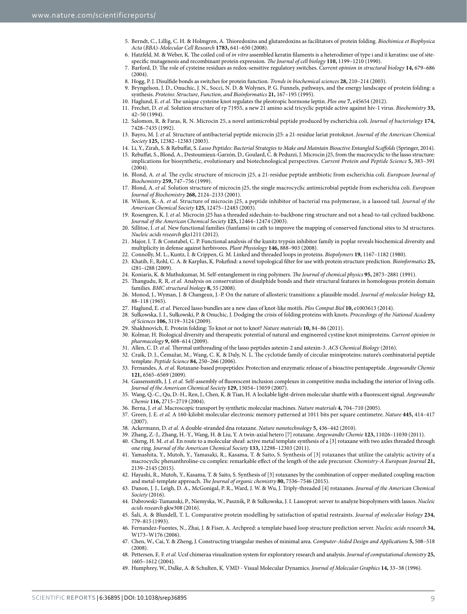- <span id="page-9-0"></span>5. Berndt, C., Lillig, C. H. & Holmgren, A. Thioredoxins and glutaredoxins as facilitators of protein folding. *Biochimica et Biophysica Acta* (*BBA*)-*Molecular Cell Research* **1783,** 641–650 (2008).
- <span id="page-9-1"></span>6. Hatzfeld, M. & Weber, K. The coiled coil of *in vitro* assembled keratin filaments is a heterodimer of type i and ii keratins: use of sitespecific mutagenesis and recombinant protein expression. *The Journal of cell biology* **110,** 1199–1210 (1990).
- <span id="page-9-2"></span>7. Barford, D. The role of cysteine residues as redox-sensitive regulatory switches. *Current opinion in structural biology* **14,** 679–686 (2004).
- <span id="page-9-3"></span>8. Hogg, P. J. Disulfide bonds as switches for protein function. *Trends in biochemical sciences* **28,** 210–214 (2003).
- <span id="page-9-4"></span>9. Bryngelson, J. D., Onuchic, J. N., Socci, N. D. & Wolynes, P. G. Funnels, pathways, and the energy landscape of protein folding: a synthesis. *Proteins*: *Structure*, *Function*, *and Bioinformatics* **21,** 167–195 (1995).
- <span id="page-9-5"></span>10. Haglund, E. *et al.* The unique cysteine knot regulates the pleotropic hormone leptin. *Plos one* **7,** e45654 (2012).
- <span id="page-9-6"></span>11. Frechet, D. *et al.* Solution structure of rp 71955, a new 21 amino acid tricyclic peptide active against hiv-1 virus. *Biochemistry* **33,** 42–50 (1994).
- <span id="page-9-7"></span>12. Salomon, R. & Faras, R. N. Microcin 25, a novel antimicrobial peptide produced by escherichia coli. *Journal of bacteriology* **174,** 7428–7435 (1992).
- <span id="page-9-8"></span>13. Bayro, M. J. *et al.* Structure of antibacterial peptide microcin j25: a 21-residue lariat protoknot. *Journal of the American Chemical Society* **125,** 12382–12383 (2003).
- <span id="page-9-9"></span>14. Li, Y., Zirah, S. & Rebuffat, S. *Lasso Peptides: Bacterial Strategies to Make and Maintain Bioactive Entangled Scaffolds* (Springer, 2014). 15. Rebuffat, S., Blond, A., Destoumieux-Garzón, D., Goulard, C. & Peduzzi, J. Microcin j25, from the macrocyclic to the lasso structure:
- implications for biosynthetic, evolutionary and biotechnological perspectives. *Current Protein and Peptide Science* **5,** 383–391  $(2004)$ .
- 16. Blond, A. *et al.* The cyclic structure of microcin j25, a 21-residue peptide antibiotic from escherichia coli. *European Journal of Biochemistry* **259,** 747–756 (1999).
- 17. Blond, A. *et al.* Solution structure of microcin j25, the single macrocyclic antimicrobial peptide from escherichia coli. *European Journal of Biochemistry* **268,** 2124–2133 (2001).
- 18. Wilson, K.-A. *et al.* Structure of microcin j25, a peptide inhibitor of bacterial rna polymerase, is a lassoed tail. *Journal of the American Chemical Society* **125,** 12475–12483 (2003).
- 19. Rosengren, K. J. *et al.* Microcin j25 has a threaded sidechain-to-backbone ring structure and not a head-to-tail cyclized backbone. *Journal of the American Chemical Society* **125,** 12464–12474 (2003).
- <span id="page-9-10"></span>20. Sillitoe, I. *et al.* New functional families (funfams) in cath to improve the mapping of conserved functional sites to 3d structures. *Nucleic acids research* gks1211 (2012).
- <span id="page-9-11"></span>21. Major, I. T. & Constabel, C. P. Functional analysis of the kunitz trypsin inhibitor family in poplar reveals biochemical diversity and multiplicity in defense against herbivores. *Plant Physiology* **146,** 888–903 (2008).
- <span id="page-9-12"></span>22. Connolly, M. L., Kuntz, I. & Crippen, G. M. Linked and threaded loops in proteins. *Biopolymers* **19,** 1167–1182 (1980).
- <span id="page-9-13"></span>23. Khatib, F., Rohl, C. A. & Karplus, K. Pokefind: a novel topological filter for use with protein structure prediction. *Bioinformatics* **25,** i281–i288 (2009).
- <span id="page-9-15"></span><span id="page-9-14"></span>24. Koniaris, K. & Muthukumar, M. Self-entanglement in ring polymers. *The Journal of chemical physics* **95,** 2873–2881 (1991).
- 25. Thangudu, R. R. *et al.* Analysis on conservation of disulphide bonds and their structural features in homologous protein domain families. *BMC structural biology* **8,** 55 (2008).
- <span id="page-9-16"></span>26. Monod, J., Wyman, J. & Changeux, J.-P. On the nature of allosteric transitions: a plausible model. *Journal of molecular biology* **12,** 88–118 (1965).
- <span id="page-9-17"></span>27. Haglund, E. *et al.* Pierced lasso bundles are a new class of knot-like motifs. *Plos Comput Biol* **10,** e1003613 (2014).
- <span id="page-9-18"></span>28. Sułkowska, J. I., Sułkowski, P. & Onuchic, J. Dodging the crisis of folding proteins with knots. *Proceedings of the National Academy of Sciences* **106,** 3119–3124 (2009).
- <span id="page-9-19"></span>29. Shakhnovich, E. Protein folding: To knot or not to knot? *Nature materials* **10,** 84–86 (2011).
- <span id="page-9-20"></span>30. Kolmar, H. Biological diversity and therapeutic potential of natural and engineered cystine knot miniproteins. *Current opinion in pharmacology* **9,** 608–614 (2009).
- <span id="page-9-21"></span>31. Allen, C. D. *et al.* Thermal unthreading of the lasso peptides astexin-2 and astexin-3. *ACS Chemical Biology* (2016).
- <span id="page-9-22"></span>32. Craik, D. J., Čemažar, M., Wang, C. K. & Daly, N. L. The cyclotide family of circular miniproteins: nature's combinatorial peptide template. *Peptide Science* **84,** 250–266 (2006).
- <span id="page-9-23"></span>33. Fernandes, A. *et al.* Rotaxane-based propeptides: Protection and enzymatic release of a bioactive pentapeptide. *Angewandte Chemie* **121,** 6565–6569 (2009).
- <span id="page-9-24"></span>34. Gassensmith, J. J. *et al.* Self-assembly of fluorescent inclusion complexes in competitive media including the interior of living cells. *Journal of the American Chemical Society* **129,** 15054–15059 (2007).
- <span id="page-9-25"></span>35. Wang, Q.-C., Qu, D.-H., Ren, J., Chen, K. & Tian, H. A lockable light-driven molecular shuttle with a fluorescent signal. *Angewandte Chemie* **116,** 2715–2719 (2004).
- <span id="page-9-27"></span><span id="page-9-26"></span>36. Berna, J. *et al.* Macroscopic transport by synthetic molecular machines. *Nature materials* **4,** 704–710 (2005).
- 37. Green, J. E. *et al.* A 160-kilobit molecular electronic memory patterned at 1011 bits per square centimetre. *Nature* **445,** 414–417  $(2007)$
- <span id="page-9-28"></span>38. Ackermann, D. *et al.* A double-stranded dna rotaxane. *Nature nanotechnology* **5,** 436–442 (2010).
- 39. Zhang, Z.-J., Zhang, H.-Y., Wang, H. & Liu, Y. A twin-axial hetero [7] rotaxane. *Angewandte Chemie* **123,** 11026–11030 (2011).
- 40. Cheng, H. M. *et al.* En route to a molecular sheaf: active metal template synthesis of a [3] rotaxane with two axles threaded through one ring. *Journal of the American Chemical Society* **133,** 12298–12303 (2011).
- 41. Yamashita, Y., Mutoh, Y., Yamasaki, R., Kasama, T. & Saito, S. Synthesis of [3] rotaxanes that utilize the catalytic activity of a macrocyclic phenanthroline-cu complex: remarkable effect of the length of the axle precursor. *Chemistry*-*A European Journal* **21,** 2139–2145 (2015).
- 42. Hayashi, R., Mutoh, Y., Kasama, T. & Saito, S. Synthesis of [3] rotaxanes by the combination of copper-mediated coupling reaction and metal-template approach. *The Journal of organic chemistry* **80,** 7536–7546 (2015).
- <span id="page-9-29"></span>43. Danon, J. J., Leigh, D. A., McGonigal, P. R., Ward, J. W. & Wu, J. Triply-threaded [4] rotaxanes. *Journal of the American Chemical Society* (2016).
- <span id="page-9-30"></span>44. Dabrowski-Tumanski, P., Niemyska, W., Pasznik, P. & Sulkowska, J. I. Lassoprot: server to analyze biopolymers with lassos. *Nucleic acids research* gkw308 (2016).
- <span id="page-9-31"></span>45. Šali, A. & Blundell, T. L. Comparative protein modelling by satisfaction of spatial restraints. *Journal of molecular biology* **234,** 779–815 (1993).
- <span id="page-9-32"></span>46. Fernandez-Fuentes, N., Zhai, J. & Fiser, A. Archpred: a template based loop structure prediction server. *Nucleic acids research* **34,** W173–W176 (2006).
- <span id="page-9-33"></span>47. Chen, W., Cai, Y. & Zheng, J. Constructing triangular meshes of minimal area. *Computer*-*Aided Design and Applications* **5,** 508–518 (2008).
- <span id="page-9-34"></span>48. Pettersen, E. F. *et al.* Ucsf chimeraa visualization system for exploratory research and analysis. *Journal of computational chemistry* **25,** 1605–1612 (2004).
- <span id="page-9-35"></span>49. Humphrey, W., Dalke, A. & Schulten, K. VMD - Visual Molecular Dynamics. *Journal of Molecular Graphics* **14,** 33–38 (1996).